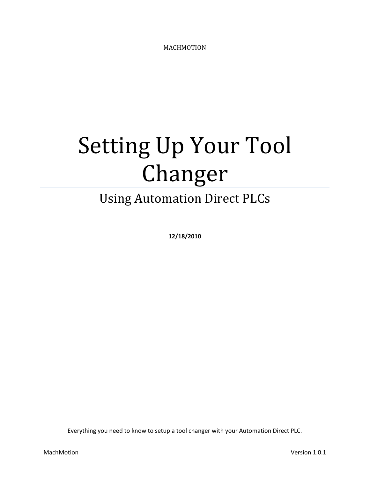MACHMOTION

# Setting Up Your Tool Changer

### Using Automation Direct PLCs

**12/18/2010**

Everything you need to know to setup a tool changer with your Automation Direct PLC.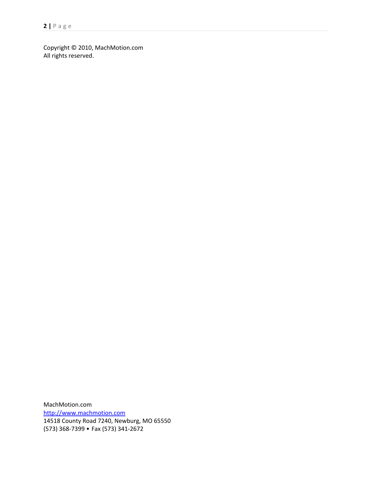Copyright © 2010, MachMotion.com All rights reserved.

MachMotion.com [http://www.machmotion.com](http://www.machmotion.com/) 14518 County Road 7240, Newburg, MO 65550 (573) 368-7399 • Fax (573) 341-2672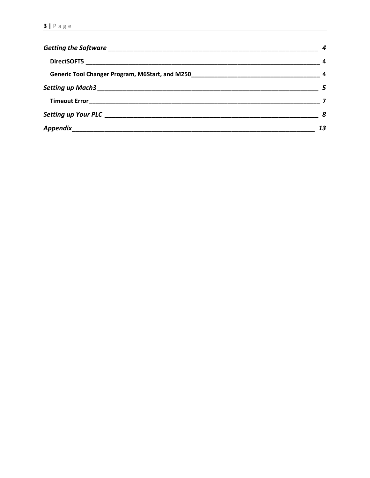| - 4 |
|-----|
|     |
|     |
|     |
|     |
| - 8 |
| 13  |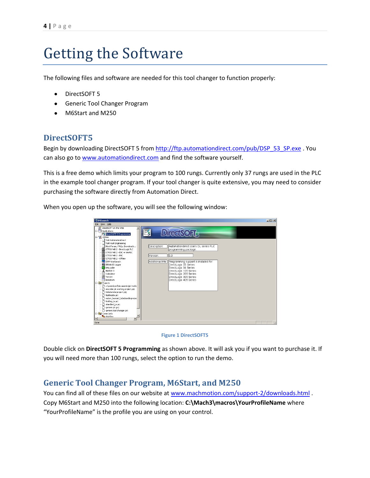# <span id="page-3-0"></span>Getting the Software

The following files and software are needed for this tool changer to function properly:

- DirectSOFT 5
- Generic Tool Changer Program
- M6Start and M250

### <span id="page-3-1"></span>**DirectSOFT5**

Begin by downloading DirectSOFT 5 from http://ftp.automationdirect.com/pub/DSP 53 SP.exe . You can also go to [www.automationdirect.com](http://www.automationdirect.com/) and find the software yourself.

This is a free demo which limits your program to 100 rungs. Currently only 37 rungs are used in the PLC in the example tool changer program. If your tool changer is quite extensive, you may need to consider purchasing the software directly from Automation Direct.

When you open up the software, you will see the following window:





Double click on **DirectSOFT 5 Programming** as shown above. It will ask you if you want to purchase it. If you will need more than 100 rungs, select the option to run the demo.

### <span id="page-3-2"></span>**Generic Tool Changer Program, M6Start, and M250**

You can find all of these files on our website at [www.machmotion.com/support-2/downloads.html](http://www.machmotion.com/support-2/downloads.html) . Copy M6Start and M250 into the following location: **C:\Mach3\macros\YourProfileName** where "YourProfileName" is the profile you are using on your control.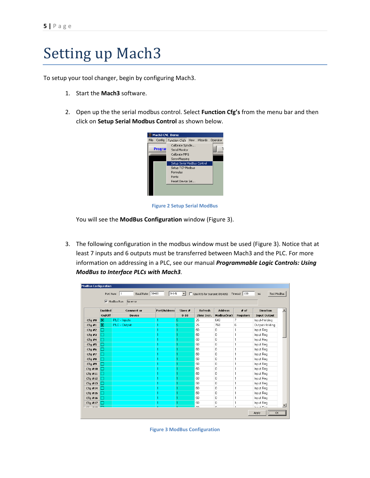# <span id="page-4-0"></span>Setting up Mach3

To setup your tool changer, begin by configuring Mach3.

- 1. Start the **Mach3** software.
- 2. Open up the the serial modbus control. Select **Function Cfg's** from the menu bar and then click on **Setup Serial Modbus Control** as shown below.



**Figure 2 Setup Serial ModBus**

You will see the **ModBus Configuration** window [\(Figure 3\)](#page-4-1).

3. The following configuration in the modbus window must be used [\(Figure 3\)](#page-4-1). Notice that at least 7 inputs and 6 outputs must be transferred between Mach3 and the PLC. For more information on addressing in a PLC, see our manual *Programmable Logic Controls: Using ModBus to Interface PLCs with Mach3.*

|                        |         |                                 |                     |                  | <b>ModBus Configuration</b>  |             |                            |                     |  |  |  |
|------------------------|---------|---------------------------------|---------------------|------------------|------------------------------|-------------|----------------------------|---------------------|--|--|--|
|                        |         | Baud Rate: 38400<br>Port Num: 1 | $8-1-N$             | ▾                | Use RTS for transmit (RS485) |             | Timeout 100                | Test ModBus<br>ms   |  |  |  |
| ModBus Run<br>No error |         |                                 |                     |                  |                              |             |                            |                     |  |  |  |
|                        | Enabled | Comment or                      | <b>Port/Address</b> | $Slove =$        | Refresh                      | Address     | $\pm$ of                   | <b>Direction</b>    |  |  |  |
|                        | On/Off  | Device                          |                     | $0 - 10$         | 25ms Incr.                   | ModBus(Var) | <b>Registers</b>           | <b>Input Output</b> |  |  |  |
| $Cfg \neq 0$           | ⊠       | PLC - Inputs                    | 1                   | 5                | 25                           | 640         | 7                          | Input-Holding       |  |  |  |
| $Cfq = 1$              | ⊠       | PLC - Output                    |                     | 5                | 25                           | 768         | 6                          | Output-Holding      |  |  |  |
| Cfg#2                  |         |                                 |                     | 1                | 50                           | 0           | 1                          | Input Reg           |  |  |  |
| $Cfq = 3$              |         |                                 | 1                   | 1                | 50                           | 0           | 1                          | Input Req           |  |  |  |
| $Cfg$ #4               |         |                                 |                     |                  | 50                           | 0           | 1                          | Input Reg           |  |  |  |
| $Cfg$ #5               |         |                                 |                     |                  | 50                           | 0           | 1                          | Input Reg.          |  |  |  |
| Cfg#6                  |         |                                 |                     |                  | 50                           | 0           | 1                          | Input Reg           |  |  |  |
| $Cfq$ #7               |         |                                 |                     | 1                | 50                           | 0           | 1                          | Input Reg           |  |  |  |
| $Cfg$ #8               |         |                                 |                     |                  | 50                           | 0           | 1                          | Input Reg           |  |  |  |
| $Cfq$ #9               |         |                                 |                     | 1                | 50                           | 0           | 1                          | Input Reg           |  |  |  |
| $Cfg$ #10              |         |                                 |                     | 1                | 50                           | 0           | 1                          | Input Reg           |  |  |  |
| $Cfg$ #11              |         |                                 |                     |                  | 50                           | 0           | 1                          | Input Reg           |  |  |  |
| Cfg #12                |         |                                 |                     | 1                | 50                           | 0           | 1                          | Input Reg           |  |  |  |
| $Cfg = 13$             |         |                                 | 1                   | 1                | 50                           | 0           | 1                          | Input Reg           |  |  |  |
| $Cfr = 14$             |         |                                 |                     |                  | 50                           | 0           | 1                          | Input Reg.          |  |  |  |
| $Cfg = 15$             |         |                                 |                     | 1                | 50                           | 0           | 1                          | Input Reg           |  |  |  |
| $Cfg = 16$             |         |                                 | 1                   | 1                | 50                           | 0           | 1                          | Input Reg           |  |  |  |
| $Cfg$ #17              |         |                                 |                     |                  | 50                           | 0           | 1                          | Input Reg           |  |  |  |
| $\cdots$               | lm      |                                 |                     | $\boldsymbol{A}$ | ro.                          | $\sim$      | $\boldsymbol{\mathcal{A}}$ | <b>Louis Dan</b>    |  |  |  |

<span id="page-4-1"></span>**Figure 3 ModBus Configuration**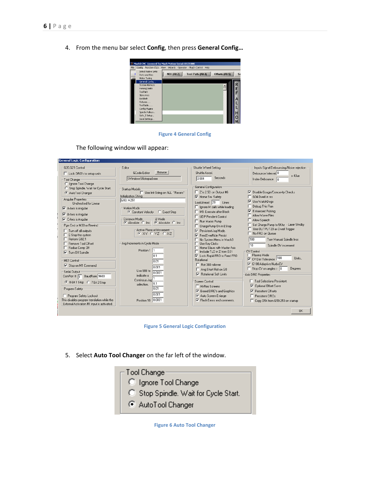4. From the menu bar select **Config**, then press **General Config…**



**Figure 4 General Config**

The following window will appear:

| <b>General Logic Configuration</b>                                                                                                                                                                                                                                                                                      |                                                                                                                                                                                                                                                                                         |                                                                                                                                                                                                                                                                                                                                                                      |                                                                                                                                                                                                                                                                                                                                              |
|-------------------------------------------------------------------------------------------------------------------------------------------------------------------------------------------------------------------------------------------------------------------------------------------------------------------------|-----------------------------------------------------------------------------------------------------------------------------------------------------------------------------------------------------------------------------------------------------------------------------------------|----------------------------------------------------------------------------------------------------------------------------------------------------------------------------------------------------------------------------------------------------------------------------------------------------------------------------------------------------------------------|----------------------------------------------------------------------------------------------------------------------------------------------------------------------------------------------------------------------------------------------------------------------------------------------------------------------------------------------|
| G20.G21 Control<br>Lock DRO's to setup units<br>Tool Change:<br>C Ignore Tool Change<br>Stop Spindle. Wait for Cycle Start.<br>O                                                                                                                                                                                        | Editor<br>Browse<br>GCode Editor<br>Windows\Notepad.exe<br>Startup Modals                                                                                                                                                                                                               | Shuttle Wheel Setting<br>Shuttle Accel.<br>Seconds<br>0.004<br>General Configuration                                                                                                                                                                                                                                                                                 | Inputs Signal Debouncing/Noise rejection-<br>Debounce Interval: 0<br>$\times$ 40 $us$<br>Index Debounce n                                                                                                                                                                                                                                    |
| AutoTool Changer<br>Angular Properties-<br>Unchecked for Linear<br>$\overline{\triangledown}$ A-Axis is Angular<br>$\nabla$ B-Axis is Angular<br>$\nabla$ C-Axis is Angular<br>Pam End or M30 or Rewind<br>Turn off all outputs<br>E-Stop the system<br>F Perform G.92.1<br>□ Remove Tool Offset                        | Use Init String on ALL "Resets"<br>Initialization String<br>G80, M251<br>- Motion Mode-<br>C Constant Velocity C Exact Stop<br>Ll Mode:<br>Distance Mode<br>C Absolute C Inc.<br>C Absolute C Inc.<br>Active Plane of Movement-<br>$C$ XY $C$ YZ $C$ XZ<br>Jog Increments in Cycle Mode | Z is 2.5D on Output #6<br><b>▽</b> Home Sw. Safety<br>LookAhead 20<br>Lines<br>I Ignore M calls while loading<br>M9-Execute after Block<br><b>UDP Pendent Control</b><br>Run Macro Pump<br>ChargePump On in EStop<br>$\overline{\mathbf{v}}$<br>Persistent Jog Mode.<br>$\overline{\mathbf{v}}$<br>FeedDverBide Persist<br>No System Menu in Mach3<br>Use Key Clicks | <b>▽</b> Disable Gouge/Concavity Checks<br>GO4 Dwell in ms<br>⊓<br><b>▽</b> Use WatchDogs<br>Debug This Run<br>$\nabla$ Enhanced Pulsing<br>Allow Wave Files<br>Allow Speech<br>Set Charge Pump to 5Khz - Laser Stndby<br>Use OUTPUT20 as Dwell Trigger<br>No FRO on Queue<br>100<br>Turn Manual Spindle Incr.<br>10<br>Spindle OV increment |
| Radius Comp Off<br>$\nabla$ Turn Off Spindle<br>-M01 Control-<br><b>▽</b> Stop on M1 Command<br>Serial Output<br>ComPort # 1 BaudRate 9600<br>● 8-Bit 1 Stop ● 7 Bit 2-Stop<br>Program Safety-<br>F Program Safety Lockout<br>This disables program translation while the<br>External Activation #1 input is activated. | Position 1 1<br>10.1<br>0.01<br>0.001<br>Use 999 to<br>0.0001<br>indicate a<br>Continous Joal<br> 0.1<br>selection.<br>10.01<br>0.001<br>Position 10 0.0001                                                                                                                             | Home Slave with Master Axis<br>Imclude TLO in Z from G31<br><b>▽</b> Lock Rapid FRO to Feed FRO<br>Rotational<br>E Bot 360 rollover<br>Ang Short Rot on GO<br>$\nabla$ Rotational Soft Limits<br>Screen Control:<br>F Hi-Res Screens<br>Ⅳ Boxed DRO's and Graphics<br>Auto Screen Enlarge<br>$\nabla$ Flash Errors and comments.                                     | CV Control<br>$\Box$ Plasma Mode<br>Ⅳ CV Dist Tolerance 180<br>Hnits:<br><b>▽</b> G100 Adaptive NurbsCV<br>$\Box$ Stop CV on angles > 0<br>Degrees<br>Axis DRO Properties<br>□ Tool Selections Persistent.<br><b>▽</b> Optional Offset Save<br>$\nabla$ Persistent Offsets<br>Persistent DROs<br>Copy G54 from G59.253 on startup            |
|                                                                                                                                                                                                                                                                                                                         |                                                                                                                                                                                                                                                                                         |                                                                                                                                                                                                                                                                                                                                                                      | <b>OK</b>                                                                                                                                                                                                                                                                                                                                    |

**Figure 5 General Logic Configuration**

5. Select **Auto Tool Changer** on the far left of the window.



**Figure 6 Auto Tool Changer**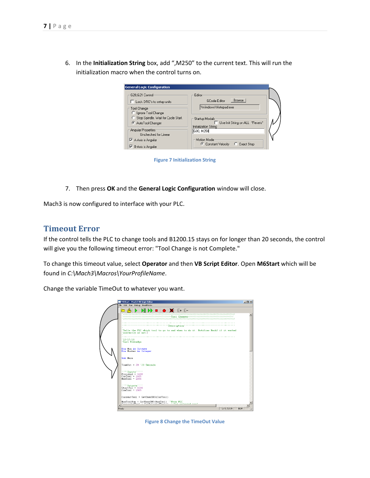6. In the **Initialization String** box, add ",M250" to the current text. This will run the initialization macro when the control turns on.

| <b>General Logic Configuration</b>                                            |                                                    |
|-------------------------------------------------------------------------------|----------------------------------------------------|
| G20.G21 Control                                                               | Editor<br>Browse<br><b>GCode Editor</b>            |
| Lock DRO's to setup units<br>Tool Change                                      | Windows\Notepad.exe                                |
| Ignore Tool Change<br>Stop Spindle, Wait for Cycle Start,<br>AutoTool Changer | Startup Modals<br>Use Init String on ALL "Resets"  |
| Angular Properties<br>Unchecked for Linear                                    | Initialization String<br>G80, M250                 |
| A-Axis is Angular<br>B-Axis is Angular                                        | Motion Mode<br>C Exact Stop<br>C Constant Velocity |

**Figure 7 Initialization String**

7. Then press **OK** and the **General Logic Configuration** window will close.

Mach3 is now configured to interface with your PLC.

#### <span id="page-6-0"></span>**Timeout Error**

If the control tells the PLC to change tools and B1200.15 stays on for longer than 20 seconds, the control will give you the following timeout error: "Tool Change is not Complete."

To change this timeout value, select **Operator** and then **VB Script Editor**. Open **M6Start** which will be found in *C:\Mach3\Macros\YourProfileName*.

| M6Start - Mach3 VB Scipt Editor                                                                                                | $  n $ $\times$ |
|--------------------------------------------------------------------------------------------------------------------------------|-----------------|
| File Edit Run Debug BreakPoints                                                                                                |                 |
| $M \rightarrow \blacksquare$ $M \rightarrow \blacksquare$<br>落り<br>6<br>,,,,,,,,,,,,,,,,,,,,,,,,,,,,,,,,,,,,,<br>,,,,,,,,,,,,, |                 |
| Withhammannannannannanna <b>Tool Changer</b> (Minimummuni<br>,,,,,,,,,,,,                                                      |                 |
| .                                                                                                                              |                 |
|                                                                                                                                |                 |
| 'Tells the PLC which tool to go to and when to do it. Notifies Mach3 if it worked<br>'correctly or not.                        |                 |
| 12/17/10                                                                                                                       |                 |
| 'Carl Eldredge                                                                                                                 |                 |
| Dim Num As Integer                                                                                                             |                 |
| Dim Number As Integer                                                                                                          |                 |
| Sub Main                                                                                                                       |                 |
|                                                                                                                                |                 |
| TimeOut = 20 '20 Seconds                                                                                                       |                 |
| """ Inputs" """                                                                                                                |                 |
| Finished = 1600<br>$CurTool = 1605$                                                                                            |                 |
| $MaxTool = 1606$                                                                                                               |                 |
| """Outputs"""<br>$StartVal = 1500$                                                                                             |                 |
| $ComToul = 1505$                                                                                                               |                 |
| CurrentTool - GetUserDRO(CurTool)                                                                                              |                 |
| MaxToolNum = GetUserDRO(MaxTool) ''From PLC<br>CommodedTool = CetSelectedTool() ''Cet colorted tool                            |                 |
| $\blacksquare$                                                                                                                 |                 |
| Ln 9, Col 19<br>Ready<br><b>NUM</b>                                                                                            |                 |

Change the variable TimeOut to whatever you want.

**Figure 8 Change the TimeOut Value**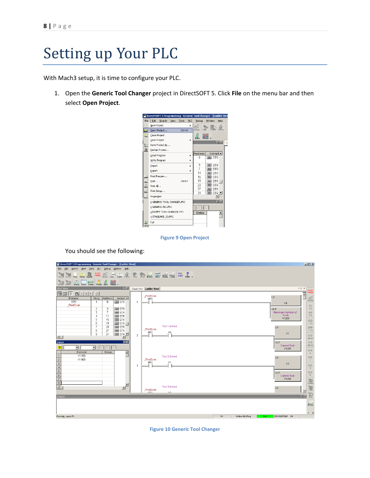# <span id="page-7-0"></span>Setting up Your PLC

With Mach3 setup, it is time to configure your PLC.

1. Open the **Generic Tool Changer** project in DirectSOFT 5. Click **File** on the menu bar and then select **Open Project**.

|             |               | Direct SOFT 5 Programming - Generic Tool Changer - [Ladder Vie |      |            |     |               |                  |            |           |  |
|-------------|---------------|----------------------------------------------------------------|------|------------|-----|---------------|------------------|------------|-----------|--|
| File        | Edit          | Search                                                         | View | Tools      | PLC | Debug         | Window           |            | Help      |  |
|             | New Project   |                                                                |      |            |     |               |                  |            |           |  |
| <b>Mark</b> |               | Open Project                                                   |      | $Ctrl + O$ |     | Accept        | r'm              |            |           |  |
| Sec.        | Close Project |                                                                |      |            |     |               |                  |            |           |  |
|             | Save Project  |                                                                |      |            | k   | Info          |                  |            | <b>马×</b> |  |
| 缸           |               | Save Project As                                                |      |            |     |               |                  |            |           |  |
| 胤           |               | Backup Project                                                 |      |            |     |               |                  |            |           |  |
|             |               | Read Program                                                   |      |            | k   | Address       |                  | Instruct - |           |  |
|             |               | Write Program                                                  |      |            | ь   | n             | <b>FEL STR</b>   |            |           |  |
|             | Import        |                                                                |      |            | ь   | 3             | FEEL STR         |            |           |  |
|             | Export        |                                                                |      |            | ٠   | 7             | FEELSTR          |            |           |  |
|             |               | Print Preview                                                  |      |            |     | 11            | <b>HE</b> STR    |            |           |  |
| a de        |               |                                                                |      | $Ctri+P$   |     | 15<br>19      | EE STR           |            |           |  |
| ē           | Print         |                                                                |      |            |     | 23            | EE STR<br>EE STR |            |           |  |
| a.<br>Matu  | Print All     |                                                                |      |            |     | 27            | EE STR           |            |           |  |
| Ŀ.          | Print Setup   |                                                                |      |            |     | 31            | <b>HE</b> STR    |            |           |  |
| 2           | Properties    |                                                                |      |            |     |               |                  |            |           |  |
|             |               | 1 GENERIC TOOL CHANGER.PRJ                                     |      |            |     |               |                  |            | 四×        |  |
|             |               | 2 GENERIC PLC.PRJ                                              |      |            |     |               |                  |            |           |  |
|             |               | 3 DUMMY TOOL CHANGER.PRJ                                       |      |            |     | <b>Status</b> |                  |            |           |  |
|             |               | 4 STANDARD IO.PRJ                                              |      |            |     |               |                  |            |           |  |
|             | Exit          |                                                                |      |            |     |               |                  |            |           |  |
|             |               |                                                                |      |            |     |               |                  |            |           |  |

**Figure 9 Open Project**

You should see the following:

| DirectSOFT 5 Programming - Generic Tool Changer - [Ladder View]                                                                                                                                                                                                                                                                                                      |                |                                                 |           | $-12$ $\times$                          |
|----------------------------------------------------------------------------------------------------------------------------------------------------------------------------------------------------------------------------------------------------------------------------------------------------------------------------------------------------------------------|----------------|-------------------------------------------------|-----------|-----------------------------------------|
| File Edit Search View Tools PLC Debug Window Help                                                                                                                                                                                                                                                                                                                    |                |                                                 |           |                                         |
| Read Write New Open Back PIDDE Read Car Covy Paste Read Read Books 2002 2000 2000 2000 1200 200                                                                                                                                                                                                                                                                      |                |                                                 |           |                                         |
| $\frac{1}{\sqrt{2}}$ $\frac{1}{\sqrt{2}}$ $\frac{1}{\sqrt{2}}$ $\frac{1}{\sqrt{2}}$ $\frac{1}{\sqrt{2}}$ $\frac{1}{\sqrt{2}}$ $\frac{1}{\sqrt{2}}$ $\frac{1}{\sqrt{2}}$ $\frac{1}{\sqrt{2}}$ $\frac{1}{\sqrt{2}}$ $\frac{1}{\sqrt{2}}$ $\frac{1}{\sqrt{2}}$ $\frac{1}{\sqrt{2}}$ $\frac{1}{\sqrt{2}}$ $\frac{1}{\sqrt{2}}$ $\frac{1}{\sqrt{2}}$ $\frac{1}{\sqrt{2}}$ |                |                                                 |           |                                         |
| <b>BK</b><br><b>XRef View</b>                                                                                                                                                                                                                                                                                                                                        |                | Stage View Ladder View                          | 4 D X     | EDIT<br>MODE                            |
| 圃■ ◇ 目→ ◆ → → →                                                                                                                                                                                                                                                                                                                                                      |                | FirstScan<br>LD                                 |           |                                         |
| Rung Address<br>Element<br>Instruct<br>SPO<br>$^{\circ}$<br><b>HE STR</b><br>$\mathbf{1}$                                                                                                                                                                                                                                                                            | $\overline{1}$ | SP <sub>0</sub><br>K8                           |           | $\frac{1}{p_{k}^{2}}$                   |
| FirstScan<br>EE STR<br>2<br>з.                                                                                                                                                                                                                                                                                                                                       |                | OUT                                             |           | $\pm 1$<br>F <sub>2</sub>               |
| 3<br>EE STR<br>$\overline{7}$<br>$\overline{4}$<br>EE STR<br>11                                                                                                                                                                                                                                                                                                      |                | Maximum Number of<br>Tools                      |           | 米<br>F3                                 |
| 5<br>EE STR<br>15                                                                                                                                                                                                                                                                                                                                                    |                | V1206                                           |           | $\lnot   \mathcal{X} \rvert$            |
| 6<br>$E$ STR $\Box$<br>19<br>$\overline{7}$<br>EE STR<br>23                                                                                                                                                                                                                                                                                                          |                | <b>Tool 1 Arrived</b><br>LD                     |           | $^{\wedge}$ F <sub>2</sub><br>拆         |
| EE STR<br>8<br>27<br>EE STR_<br>9<br>31                                                                                                                                                                                                                                                                                                                              | $\overline{2}$ | FirstScan<br>SPO<br>$\times 0$<br>K1            |           | $\wedge$ F3                             |
| $\blacksquare$<br>$\mathbf{E}$                                                                                                                                                                                                                                                                                                                                       |                |                                                 |           | 바다<br>$Sh$ HF2                          |
| 四区<br>Data1                                                                                                                                                                                                                                                                                                                                                          |                | <b>OUT</b><br><b>Current Tool</b>               |           | -11-<br>Shiff3                          |
| E1<br>≖<br>$\blacktriangledown$<br>Element<br><b>Status</b><br>≜                                                                                                                                                                                                                                                                                                     |                | V1205                                           |           | $\left\vert -\right\vert -$<br>$\equiv$ |
| V1200<br>V1400                                                                                                                                                                                                                                                                                                                                                       |                | <b>Tool 2 Arrived</b><br>LD<br>FirstScan        |           | 怑                                       |
| $\frac{1}{2}$ $\frac{1}{2}$ $\frac{1}{2}$ $\frac{1}{2}$ $\frac{1}{2}$ $\frac{1}{2}$ $\frac{1}{2}$ $\frac{1}{2}$ $\frac{1}{2}$ $\frac{1}{2}$ $\frac{1}{2}$ $\frac{1}{2}$ $\frac{1}{2}$ $\frac{1}{2}$ $\frac{1}{2}$ $\frac{1}{2}$ $\frac{1}{2}$ $\frac{1}{2}$ $\frac{1}{2}$ $\frac{1}{2}$ $\frac{1}{2}$ $\frac{1}{2}$                                                  | 3              | SP <sub>0</sub><br>×1<br>K2                     |           |                                         |
|                                                                                                                                                                                                                                                                                                                                                                      |                |                                                 |           |                                         |
|                                                                                                                                                                                                                                                                                                                                                                      |                | <b>OUT</b><br><b>Current Tool</b>               |           | (全 소)                                   |
|                                                                                                                                                                                                                                                                                                                                                                      |                | V1205                                           |           |                                         |
| $\mathbf{F}$                                                                                                                                                                                                                                                                                                                                                         |                | Tool 3 Arrived<br>LD<br>FirstScan               |           | 圖                                       |
| <b>Output</b>                                                                                                                                                                                                                                                                                                                                                        |                | CDD.<br>Ann.                                    | <b>AK</b> | 夏                                       |
|                                                                                                                                                                                                                                                                                                                                                                      |                |                                                 |           | $rac{1}{\sqrt{2}}$                      |
|                                                                                                                                                                                                                                                                                                                                                                      |                |                                                 |           |                                         |
| For Help, press F1                                                                                                                                                                                                                                                                                                                                                   |                | OK.<br>00180/07680 06<br>Online:06 KSeq<br>Run. |           | $\bullet$ $\bullet$                     |
|                                                                                                                                                                                                                                                                                                                                                                      |                |                                                 |           |                                         |

**Figure 10 Generic Tool Changer**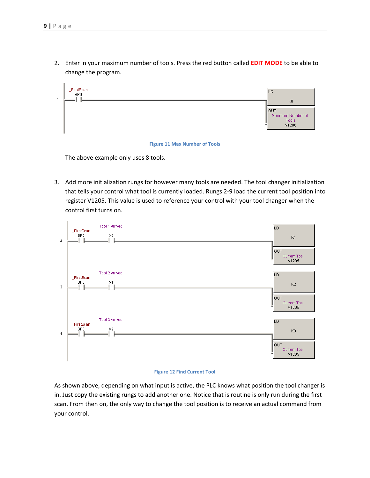2. Enter in your maximum number of tools. Press the red button called **EDIT MODE** to be able to change the program.



#### **Figure 11 Max Number of Tools**

The above example only uses 8 tools.

3. Add more initialization rungs for however many tools are needed. The tool changer initialization that tells your control what tool is currently loaded. Rungs 2-9 load the current tool position into register V1205. This value is used to reference your control with your tool changer when the control first turns on.



#### **Figure 12 Find Current Tool**

As shown above, depending on what input is active, the PLC knows what position the tool changer is in. Just copy the existing rungs to add another one. Notice that is routine is only run during the first scan. From then on, the only way to change the tool position is to receive an actual command from your control.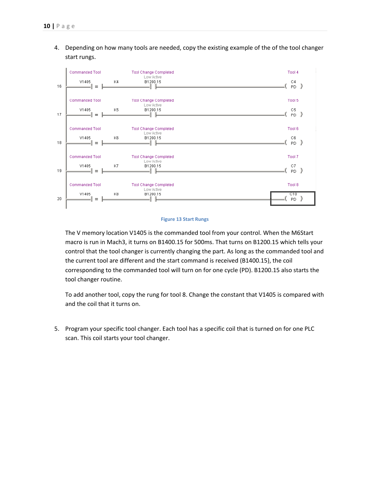4. Depending on how many tools are needed, copy the existing example of the of the tool changer start rungs.



#### **Figure 13 Start Rungs**

The V memory location V1405 is the commanded tool from your control. When the M6Start macro is run in Mach3, it turns on B1400.15 for 500ms. That turns on B1200.15 which tells your control that the tool changer is currently changing the part. As long as the commanded tool and the current tool are different and the start command is received (B1400.15), the coil corresponding to the commanded tool will turn on for one cycle (PD). B1200.15 also starts the tool changer routine.

To add another tool, copy the rung for tool 8. Change the constant that V1405 is compared with and the coil that it turns on.

5. Program your specific tool changer. Each tool has a specific coil that is turned on for one PLC scan. This coil starts your tool changer.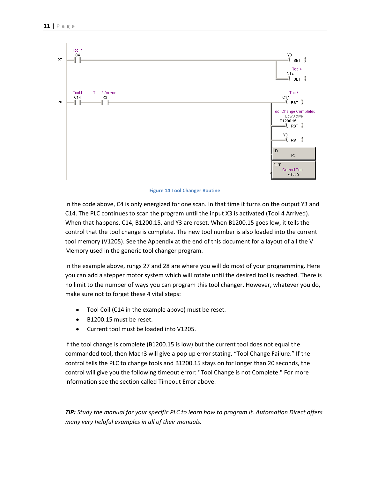

**Figure 14 Tool Changer Routine**

In the code above, C4 is only energized for one scan. In that time it turns on the output Y3 and C14. The PLC continues to scan the program until the input X3 is activated (Tool 4 Arrived). When that happens, C14, B1200.15, and Y3 are reset. When B1200.15 goes low, it tells the control that the tool change is complete. The new tool number is also loaded into the current tool memory (V1205). See the Appendix at the end of this document for a layout of all the V Memory used in the generic tool changer program.

In the example above, rungs 27 and 28 are where you will do most of your programming. Here you can add a stepper motor system which will rotate until the desired tool is reached. There is no limit to the number of ways you can program this tool changer. However, whatever you do, make sure not to forget these 4 vital steps:

- Tool Coil (C14 in the example above) must be reset.  $\bullet$
- B1200.15 must be reset.  $\bullet$
- Current tool must be loaded into V1205.  $\bullet$

If the tool change is complete (B1200.15 is low) but the current tool does not equal the commanded tool, then Mach3 will give a pop up error stating, "Tool Change Failure." If the control tells the PLC to change tools and B1200.15 stays on for longer than 20 seconds, the control will give you the following timeout error: "Tool Change is not Complete." For more information see the section called [Timeout Error](#page-6-0) above.

*TIP: Study the manual for your specific PLC to learn how to program it. Automation Direct offers many very helpful examples in all of their manuals.*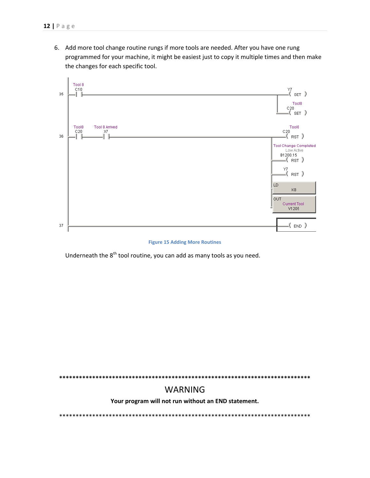6. Add more tool change routine rungs if more tools are needed. After you have one rung programmed for your machine, it might be easiest just to copy it multiple times and then make the changes for each specific tool.



#### **Figure 15 Adding More Routines**

Underneath the 8<sup>th</sup> tool routine, you can add as many tools as you need.

**\*\*\*\*\*\*\*\*\*\*\*\*\*\*\*\*\*\*\*\*\*\*\*\*\*\*\*\*\*\*\*\*\*\*\*\*\*\*\*\*\*\*\*\*\*\*\*\*\*\*\*\*\*\*\*\*\*\*\*\*\*\*\*\*\*\*\*\*\*\*\*\*\*\*\*\***

### WARNING

**Your program will not run without an END statement.**

\*\*\*\*\*\*\*\*\*\*\*\*\*\*\*\*\*\*\*\*\*\*\*\*\*\*\*\*\*\*\*\*\*\*\*\*\*\*\*\*\*\*\*\*\*\*\*\*\*\*\*\*\*\*\*\*\*\*\*\*\*\*\*\*\*\*\*\*\*\*\*\*\*\*\*\*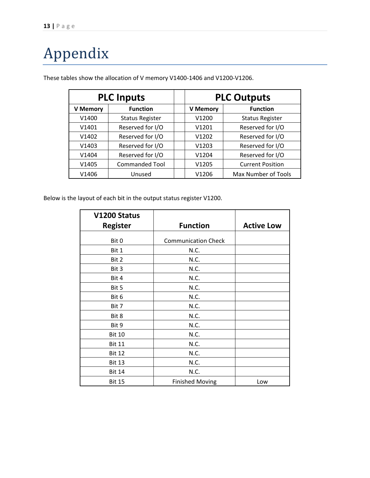# <span id="page-12-0"></span>Appendix

|                   | <b>PLC Inputs</b>      |                 | <b>PLC Outputs</b>      |
|-------------------|------------------------|-----------------|-------------------------|
| <b>V</b> Memory   | <b>Function</b>        | <b>V Memory</b> | <b>Function</b>         |
| V1400             | <b>Status Register</b> | V1200           | <b>Status Register</b>  |
| V1401             | Reserved for I/O       | V1201           | Reserved for I/O        |
| V <sub>1402</sub> | Reserved for I/O       | V1202           | Reserved for I/O        |
| V1403             | Reserved for I/O       | V1203           | Reserved for I/O        |
| V1404             | Reserved for I/O       | V1204           | Reserved for I/O        |
| V1405             | <b>Commanded Tool</b>  | V1205           | <b>Current Position</b> |
| V1406             | Unused                 | V1206           | Max Number of Tools     |

These tables show the allocation of V memory V1400-1406 and V1200-V1206.

Below is the layout of each bit in the output status register V1200.

| V1200 Status    |                            |                   |
|-----------------|----------------------------|-------------------|
| <b>Register</b> | <b>Function</b>            | <b>Active Low</b> |
|                 |                            |                   |
| Bit 0           | <b>Communication Check</b> |                   |
| Bit 1           | N.C.                       |                   |
| Bit 2           | N.C.                       |                   |
| Bit 3           | N.C.                       |                   |
| Bit 4           | N.C.                       |                   |
| Bit 5           | N.C.                       |                   |
| Bit 6           | N.C.                       |                   |
| Bit 7           | N.C.                       |                   |
| Bit 8           | N.C.                       |                   |
| Bit 9           | N.C.                       |                   |
| <b>Bit 10</b>   | N.C.                       |                   |
| <b>Bit 11</b>   | N.C.                       |                   |
| <b>Bit 12</b>   | N.C.                       |                   |
| <b>Bit 13</b>   | N.C.                       |                   |
| <b>Bit 14</b>   | N.C.                       |                   |
| <b>Bit 15</b>   | <b>Finished Moving</b>     | Low               |